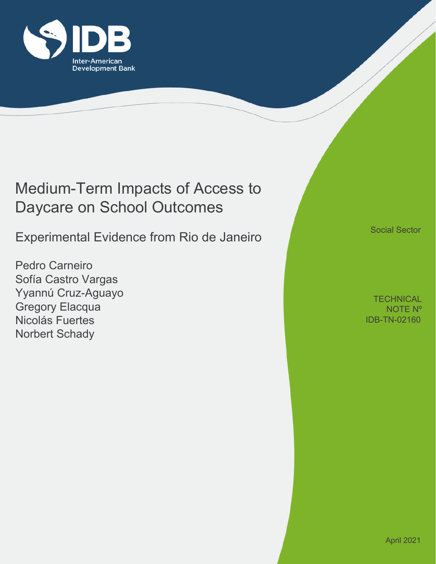

# Medium-Term Impacts of Access to Daycare on School Outcomes

Experimental Evidence from Rio de Janeiro

Pedro Carneiro Sofía Castro Vargas Yyannú Cruz-Aguayo Gregory Elacqua Nicolás Fuertes Norbert Schady

Social Sector

IDB-TN-02160 **TECHNICAL** NOTE Nº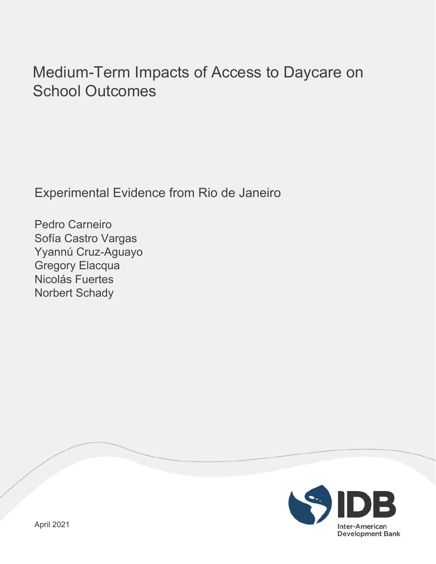# Medium-Term Impacts of Access to Daycare on School Outcomes

Experimental Evidence from Rio de Janeiro

Pedro Carneiro Sofía Castro Vargas Yyannú Cruz-Aguayo Gregory Elacqua Nicolás Fuertes Norbert Schady

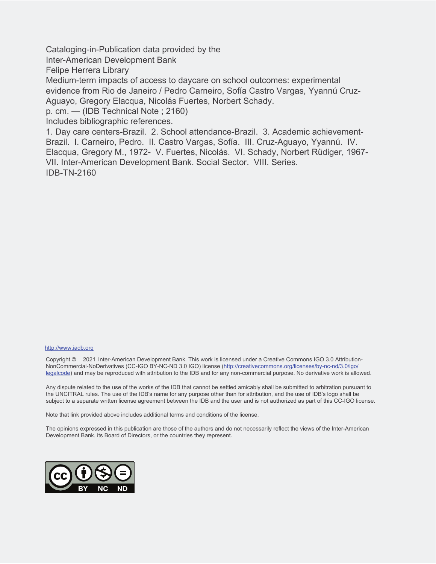Cataloging-in-Publication data provided by the

Inter-American Development Bank

Felipe Herrera Library

Medium-term impacts of access to daycare on school outcomes: experimental evidence from Rio de Janeiro / Pedro Carneiro, Sofía Castro Vargas, Yyannú Cruz-Aguayo, Gregory Elacqua, Nicolás Fuertes, Norbert Schady.

p. cm. — (IDB Technical Note ; 2160)

Includes bibliographic references.

1. Day care centers-Brazil. 2. School attendance-Brazil. 3. Academic achievement-Brazil. I. Carneiro, Pedro. II. Castro Vargas, Sofía. III. Cruz-Aguayo, Yyannú. IV. Elacqua, Gregory M., 1972- V. Fuertes, Nicolás. VI. Schady, Norbert Rüdiger, 1967- VII. Inter-American Development Bank. Social Sector. VIII. Series. IDB-TN-2160

#### http://www.iadb.org

Copyright © 2021 Inter-American Development Bank. This work is licensed under a Creative Commons IGO 3.0 Attribution-NonCommercial-NoDerivatives (CC-IGO BY-NC-ND 3.0 IGO) license (http://creativecommons.org/licenses/by-nc-nd/3.0/igo/ legalcode) and may be reproduced with attribution to the IDB and for any non-commercial purpose. No derivative work is allowed.

Any dispute related to the use of the works of the IDB that cannot be settled amicably shall be submitted to arbitration pursuant to the UNCITRAL rules. The use of the IDB's name for any purpose other than for attribution, and the use of IDB's logo shall be subject to a separate written license agreement between the IDB and the user and is not authorized as part of this CC-IGO license.

Note that link provided above includes additional terms and conditions of the license.

The opinions expressed in this publication are those of the authors and do not necessarily reflect the views of the Inter-American Development Bank, its Board of Directors, or the countries they represent.

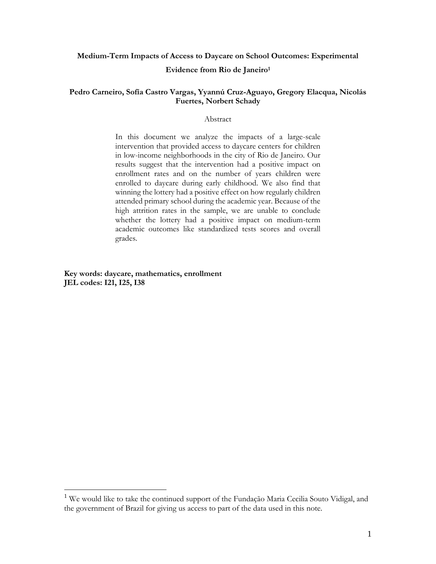## **Medium-Term Impacts of Access to Daycare on School Outcomes: Experimental**

#### **Evidence from Rio de Janeiro<sup>1</sup>**

## **Pedro Carneiro, Sofía Castro Vargas, Yyannú Cruz-Aguayo, Gregory Elacqua, Nicolás Fuertes, Norbert Schady**

### Abstract

In this document we analyze the impacts of a large-scale intervention that provided access to daycare centers for children in low-income neighborhoods in the city of Rio de Janeiro. Our results suggest that the intervention had a positive impact on enrollment rates and on the number of years children were enrolled to daycare during early childhood. We also find that winning the lottery had a positive effect on how regularly children attended primary school during the academic year. Because of the high attrition rates in the sample, we are unable to conclude whether the lottery had a positive impact on medium-term academic outcomes like standardized tests scores and overall grades.

**Key words: daycare, mathematics, enrollment JEL codes: I21, I25, I38**

 $\overline{a}$ 

<sup>&</sup>lt;sup>1</sup> We would like to take the continued support of the Fundação Maria Cecilia Souto Vidigal, and the government of Brazil for giving us access to part of the data used in this note.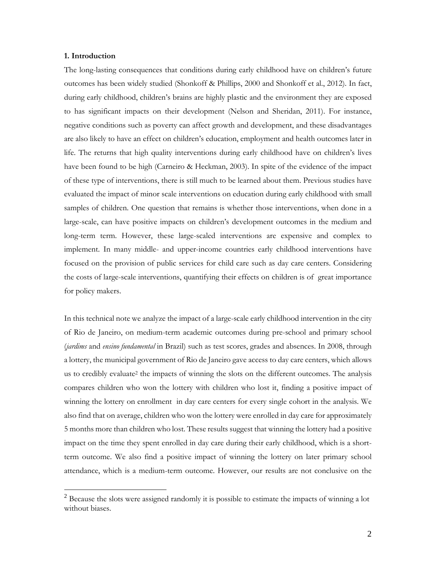#### **1. Introduction**

 $\overline{a}$ 

The long-lasting consequences that conditions during early childhood have on children's future outcomes has been widely studied (Shonkoff & Phillips, 2000 and Shonkoff et al., 2012). In fact, during early childhood, children's brains are highly plastic and the environment they are exposed to has significant impacts on their development (Nelson and Sheridan, 2011). For instance, negative conditions such as poverty can affect growth and development, and these disadvantages are also likely to have an effect on children's education, employment and health outcomes later in life. The returns that high quality interventions during early childhood have on children's lives have been found to be high (Carneiro & Heckman, 2003). In spite of the evidence of the impact of these type of interventions, there is still much to be learned about them. Previous studies have evaluated the impact of minor scale interventions on education during early childhood with small samples of children. One question that remains is whether those interventions, when done in a large-scale, can have positive impacts on children's development outcomes in the medium and long-term term. However, these large-scaled interventions are expensive and complex to implement. In many middle- and upper-income countries early childhood interventions have focused on the provision of public services for child care such as day care centers. Considering the costs of large-scale interventions, quantifying their effects on children is of great importance for policy makers.

In this technical note we analyze the impact of a large-scale early childhood intervention in the city of Rio de Janeiro, on medium-term academic outcomes during pre-school and primary school (*jardims* and *ensino fundamental* in Brazil) such as test scores, grades and absences. In 2008, through a lottery, the municipal government of Rio de Janeiro gave access to day care centers, which allows us to credibly evaluate<sup>2</sup> the impacts of winning the slots on the different outcomes. The analysis compares children who won the lottery with children who lost it, finding a positive impact of winning the lottery on enrollment in day care centers for every single cohort in the analysis. We also find that on average, children who won the lottery were enrolled in day care for approximately 5 months more than children who lost. These results suggest that winning the lottery had a positive impact on the time they spent enrolled in day care during their early childhood, which is a shortterm outcome. We also find a positive impact of winning the lottery on later primary school attendance, which is a medium-term outcome. However, our results are not conclusive on the

<sup>&</sup>lt;sup>2</sup> Because the slots were assigned randomly it is possible to estimate the impacts of winning a lot without biases.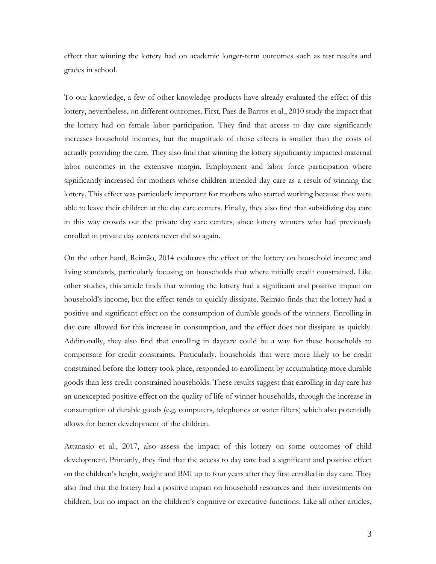effect that winning the lottery had on academic longer-term outcomes such as test results and grades in school.

To our knowledge, a few of other knowledge products have already evaluated the effect of this lottery, nevertheless, on different outcomes. First, Paes de Barros et al., 2010 study the impact that the lottery had on female labor participation. They find that access to day care significantly increases household incomes, but the magnitude of those effects is smaller than the costs of actually providing the care. They also find that winning the lottery significantly impacted maternal labor outcomes in the extensive margin. Employment and labor force participation where significantly increased for mothers whose children attended day care as a result of winning the lottery. This effect was particularly important for mothers who started working because they were able to leave their children at the day care centers. Finally, they also find that subsidizing day care in this way crowds out the private day care centers, since lottery winners who had previously enrolled in private day centers never did so again.

On the other hand, Reimão, 2014 evaluates the effect of the lottery on household income and living standards, particularly focusing on households that where initially credit constrained. Like other studies, this article finds that winning the lottery had a significant and positive impact on household's income, but the effect tends to quickly dissipate. Reimão finds that the lottery had a positive and significant effect on the consumption of durable goods of the winners. Enrolling in day care allowed for this increase in consumption, and the effect does not dissipate as quickly. Additionally, they also find that enrolling in daycare could be a way for these households to compensate for credit constraints. Particularly, households that were more likely to be credit constrained before the lottery took place, responded to enrollment by accumulating more durable goods than less credit constrained households. These results suggest that enrolling in day care has an unexcepted positive effect on the quality of life of winner households, through the increase in consumption of durable goods (e.g. computers, telephones or water filters) which also potentially allows for better development of the children.

Attanasio et al., 2017, also assess the impact of this lottery on some outcomes of child development. Primarily, they find that the access to day care had a significant and positive effect on the children's height, weight and BMI up to four years after they first enrolled in day care. They also find that the lottery had a positive impact on household resources and their investments on children, but no impact on the children's cognitive or executive functions. Like all other articles,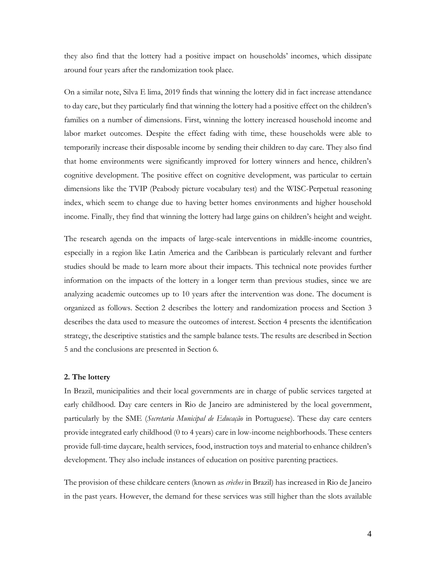they also find that the lottery had a positive impact on households' incomes, which dissipate around four years after the randomization took place.

On a similar note, Silva E lima, 2019 finds that winning the lottery did in fact increase attendance to day care, but they particularly find that winning the lottery had a positive effect on the children's families on a number of dimensions. First, winning the lottery increased household income and labor market outcomes. Despite the effect fading with time, these households were able to temporarily increase their disposable income by sending their children to day care. They also find that home environments were significantly improved for lottery winners and hence, children's cognitive development. The positive effect on cognitive development, was particular to certain dimensions like the TVIP (Peabody picture vocabulary test) and the WISC-Perpetual reasoning index, which seem to change due to having better homes environments and higher household income. Finally, they find that winning the lottery had large gains on children's height and weight.

The research agenda on the impacts of large-scale interventions in middle-income countries, especially in a region like Latin America and the Caribbean is particularly relevant and further studies should be made to learn more about their impacts. This technical note provides further information on the impacts of the lottery in a longer term than previous studies, since we are analyzing academic outcomes up to 10 years after the intervention was done. The document is organized as follows. Section 2 describes the lottery and randomization process and Section 3 describes the data used to measure the outcomes of interest. Section 4 presents the identification strategy, the descriptive statistics and the sample balance tests. The results are described in Section 5 and the conclusions are presented in Section 6.

#### **2. The lottery**

In Brazil, municipalities and their local governments are in charge of public services targeted at early childhood. Day care centers in Rio de Janeiro are administered by the local government, particularly by the SME (*Secretaria Municipal de Educação* in Portuguese). These day care centers provide integrated early childhood (0 to 4 years) care in low-income neighborhoods. These centers provide full-time daycare, health services, food, instruction toys and material to enhance children's development. They also include instances of education on positive parenting practices.

The provision of these childcare centers (known as *crèches* in Brazil) has increased in Rio de Janeiro in the past years. However, the demand for these services was still higher than the slots available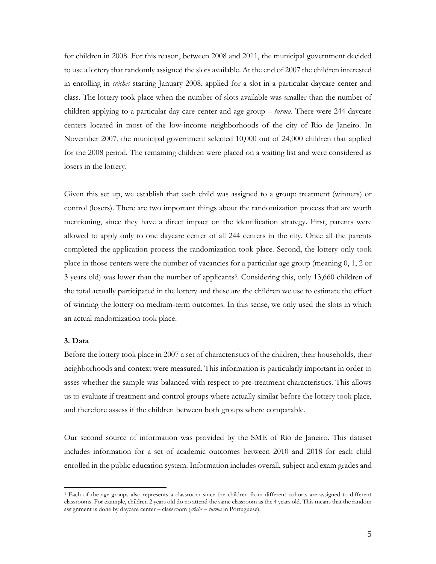for children in 2008. For this reason, between 2008 and 2011, the municipal government decided to use a lottery that randomly assigned the slots available. At the end of 2007 the children interested in enrolling in *crèches* starting January 2008, applied for a slot in a particular daycare center and class. The lottery took place when the number of slots available was smaller than the number of children applying to a particular day care center and age group – *turma*. There were 244 daycare centers located in most of the low-income neighborhoods of the city of Rio de Janeiro. In November 2007, the municipal government selected 10,000 out of 24,000 children that applied for the 2008 period. The remaining children were placed on a waiting list and were considered as losers in the lottery.

Given this set up, we establish that each child was assigned to a group: treatment (winners) or control (losers). There are two important things about the randomization process that are worth mentioning, since they have a direct impact on the identification strategy. First, parents were allowed to apply only to one daycare center of all 244 centers in the city. Once all the parents completed the application process the randomization took place. Second, the lottery only took place in those centers were the number of vacancies for a particular age group (meaning 0, 1, 2 or 3 years old) was lower than the number of applicants3. Considering this, only 13,660 children of the total actually participated in the lottery and these are the children we use to estimate the effect of winning the lottery on medium-term outcomes. In this sense, we only used the slots in which an actual randomization took place.

## **3. Data**

 $\overline{a}$ 

Before the lottery took place in 2007 a set of characteristics of the children, their households, their neighborhoods and context were measured. This information is particularly important in order to asses whether the sample was balanced with respect to pre-treatment characteristics. This allows us to evaluate if treatment and control groups where actually similar before the lottery took place, and therefore assess if the children between both groups where comparable.

Our second source of information was provided by the SME of Rio de Janeiro. This dataset includes information for a set of academic outcomes between 2010 and 2018 for each child enrolled in the public education system. Information includes overall, subject and exam grades and

<sup>3</sup> Each of the age groups also represents a classroom since the children from different cohorts are assigned to different classrooms. For example, children 2 years old do no attend the same classroom as the 4 years old. This means that the random assignment is done by daycare center – classroom (*crèche – turma* in Portuguese).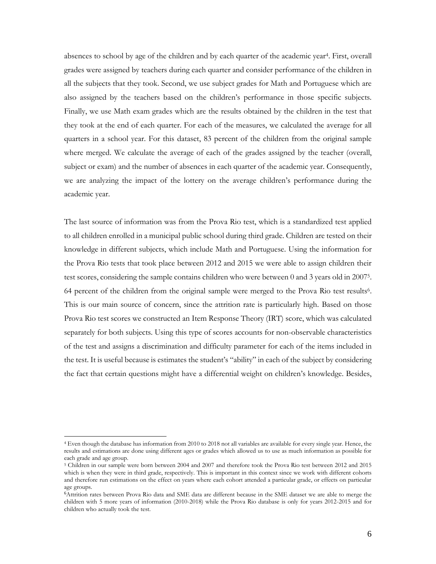absences to school by age of the children and by each quarter of the academic year4. First, overall grades were assigned by teachers during each quarter and consider performance of the children in all the subjects that they took. Second, we use subject grades for Math and Portuguese which are also assigned by the teachers based on the children's performance in those specific subjects. Finally, we use Math exam grades which are the results obtained by the children in the test that they took at the end of each quarter. For each of the measures, we calculated the average for all quarters in a school year. For this dataset, 83 percent of the children from the original sample where merged. We calculate the average of each of the grades assigned by the teacher (overall, subject or exam) and the number of absences in each quarter of the academic year. Consequently, we are analyzing the impact of the lottery on the average children's performance during the academic year.

The last source of information was from the Prova Rio test, which is a standardized test applied to all children enrolled in a municipal public school during third grade. Children are tested on their knowledge in different subjects, which include Math and Portuguese. Using the information for the Prova Rio tests that took place between 2012 and 2015 we were able to assign children their test scores, considering the sample contains children who were between 0 and 3 years old in 20075. 64 percent of the children from the original sample were merged to the Prova Rio test results6. This is our main source of concern, since the attrition rate is particularly high. Based on those Prova Rio test scores we constructed an Item Response Theory (IRT) score, which was calculated separately for both subjects. Using this type of scores accounts for non-observable characteristics of the test and assigns a discrimination and difficulty parameter for each of the items included in the test. It is useful because is estimates the student's "ability" in each of the subject by considering the fact that certain questions might have a differential weight on children's knowledge. Besides,

 $\overline{a}$ 

<sup>4</sup> Even though the database has information from 2010 to 2018 not all variables are available for every single year. Hence, the results and estimations are done using different ages or grades which allowed us to use as much information as possible for each grade and age group.

<sup>5</sup> Children in our sample were born between 2004 and 2007 and therefore took the Prova Rio test between 2012 and 2015 which is when they were in third grade, respectively. This is important in this context since we work with different cohorts and therefore run estimations on the effect on years where each cohort attended a particular grade, or effects on particular age groups.

<sup>6</sup>Attrition rates between Prova Rio data and SME data are different because in the SME dataset we are able to merge the children with 5 more years of information (2010-2018) while the Prova Rio database is only for years 2012-2015 and for children who actually took the test.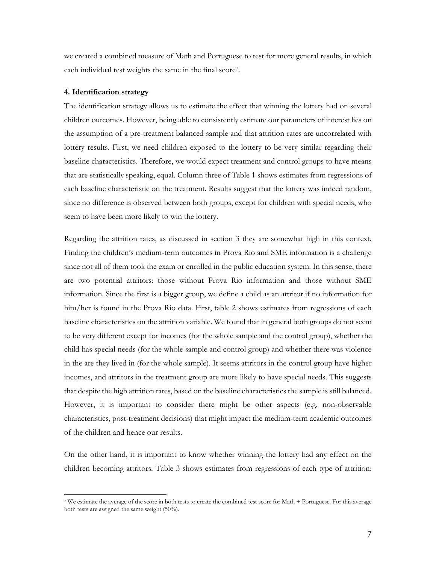we created a combined measure of Math and Portuguese to test for more general results, in which each individual test weights the same in the final score7.

### **4. Identification strategy**

 $\overline{a}$ 

The identification strategy allows us to estimate the effect that winning the lottery had on several children outcomes. However, being able to consistently estimate our parameters of interest lies on the assumption of a pre-treatment balanced sample and that attrition rates are uncorrelated with lottery results. First, we need children exposed to the lottery to be very similar regarding their baseline characteristics. Therefore, we would expect treatment and control groups to have means that are statistically speaking, equal. Column three of Table 1 shows estimates from regressions of each baseline characteristic on the treatment. Results suggest that the lottery was indeed random, since no difference is observed between both groups, except for children with special needs, who seem to have been more likely to win the lottery.

Regarding the attrition rates, as discussed in section 3 they are somewhat high in this context. Finding the children's medium-term outcomes in Prova Rio and SME information is a challenge since not all of them took the exam or enrolled in the public education system. In this sense, there are two potential attritors: those without Prova Rio information and those without SME information. Since the first is a bigger group, we define a child as an attritor if no information for him/her is found in the Prova Rio data. First, table 2 shows estimates from regressions of each baseline characteristics on the attrition variable. We found that in general both groups do not seem to be very different except for incomes (for the whole sample and the control group), whether the child has special needs (for the whole sample and control group) and whether there was violence in the are they lived in (for the whole sample). It seems attritors in the control group have higher incomes, and attritors in the treatment group are more likely to have special needs. This suggests that despite the high attrition rates, based on the baseline characteristics the sample is still balanced. However, it is important to consider there might be other aspects (e.g. non-observable characteristics, post-treatment decisions) that might impact the medium-term academic outcomes of the children and hence our results.

On the other hand, it is important to know whether winning the lottery had any effect on the children becoming attritors. Table 3 shows estimates from regressions of each type of attrition:

<sup>7</sup> We estimate the average of the score in both tests to create the combined test score for Math + Portuguese. For this average both tests are assigned the same weight (50%).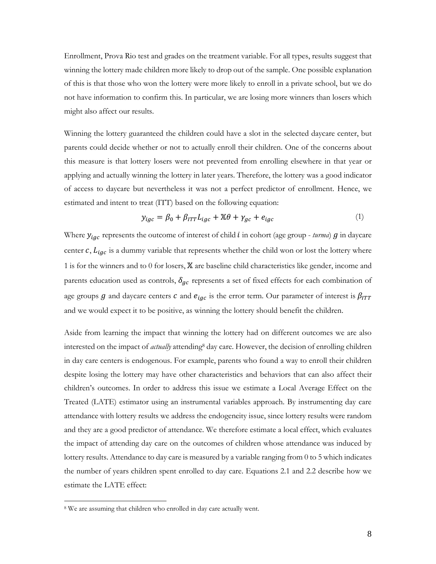Enrollment, Prova Rio test and grades on the treatment variable. For all types, results suggest that winning the lottery made children more likely to drop out of the sample. One possible explanation of this is that those who won the lottery were more likely to enroll in a private school, but we do not have information to confirm this. In particular, we are losing more winners than losers which might also affect our results.

Winning the lottery guaranteed the children could have a slot in the selected daycare center, but parents could decide whether or not to actually enroll their children. One of the concerns about this measure is that lottery losers were not prevented from enrolling elsewhere in that year or applying and actually winning the lottery in later years. Therefore, the lottery was a good indicator of access to daycare but nevertheless it was not a perfect predictor of enrollment. Hence, we estimated and intent to treat (ITT) based on the following equation:

$$
y_{igc} = \beta_0 + \beta_{ITT} L_{igc} + \mathbb{X}\theta + \gamma_{gc} + e_{igc}
$$
 (1)

Where  $y_{igc}$  represents the outcome of interest of child  $i$  in cohort (age group - *turma*)  $g$  in daycare center  $c$ ,  $L_{iqc}$  is a dummy variable that represents whether the child won or lost the lottery where 1 is for the winners and to 0 for losers,  $X$  are baseline child characteristics like gender, income and parents education used as controls,  $\delta_{gc}$  represents a set of fixed effects for each combination of age groups  $g$  and daycare centers  $c$  and  $e_{igc}$  is the error term. Our parameter of interest is  $\beta_{ITT}$ and we would expect it to be positive, as winning the lottery should benefit the children.

Aside from learning the impact that winning the lottery had on different outcomes we are also interested on the impact of *actually* attending<sup>8</sup> day care. However, the decision of enrolling children in day care centers is endogenous. For example, parents who found a way to enroll their children despite losing the lottery may have other characteristics and behaviors that can also affect their children's outcomes. In order to address this issue we estimate a Local Average Effect on the Treated (LATE) estimator using an instrumental variables approach. By instrumenting day care attendance with lottery results we address the endogeneity issue, since lottery results were random and they are a good predictor of attendance. We therefore estimate a local effect, which evaluates the impact of attending day care on the outcomes of children whose attendance was induced by lottery results. Attendance to day care is measured by a variable ranging from 0 to 5 which indicates the number of years children spent enrolled to day care. Equations 2.1 and 2.2 describe how we estimate the LATE effect:

 $\overline{a}$ 

<sup>&</sup>lt;sup>8</sup> We are assuming that children who enrolled in day care actually went.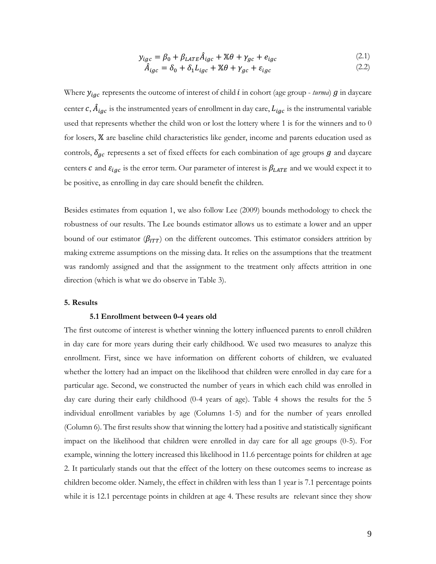$$
y_{igc} = \beta_0 + \beta_{LATE}\hat{A}_{igc} + \mathbb{X}\theta + \gamma_{gc} + e_{igc}
$$
 (2.1)

$$
\hat{A}_{igc} = \delta_0 + \delta_1 L_{igc} + \mathbb{X}\theta + \gamma_{gc} + \varepsilon_{igc}
$$
\n(2.2)

Where  $y_{iqc}$  represents the outcome of interest of child  $i$  in cohort (age group - *turma*)  $g$  in daycare center  $c, \hat{A}_{igc}$  is the instrumented years of enrollment in day care,  $L_{igc}$  is the instrumental variable used that represents whether the child won or lost the lottery where 1 is for the winners and to 0 for losers,  $X$  are baseline child characteristics like gender, income and parents education used as controls,  $\delta_{ac}$  represents a set of fixed effects for each combination of age groups  $g$  and daycare centers  $c$  and  $\varepsilon_{igc}$  is the error term. Our parameter of interest is  $\beta_{LATE}$  and we would expect it to be positive, as enrolling in day care should benefit the children.

Besides estimates from equation 1, we also follow Lee (2009) bounds methodology to check the robustness of our results. The Lee bounds estimator allows us to estimate a lower and an upper bound of our estimator ( $\beta_{ITT}$ ) on the different outcomes. This estimator considers attrition by making extreme assumptions on the missing data. It relies on the assumptions that the treatment was randomly assigned and that the assignment to the treatment only affects attrition in one direction (which is what we do observe in Table 3).

#### **5. Results**

### **5.1 Enrollment between 0-4 years old**

The first outcome of interest is whether winning the lottery influenced parents to enroll children in day care for more years during their early childhood. We used two measures to analyze this enrollment. First, since we have information on different cohorts of children, we evaluated whether the lottery had an impact on the likelihood that children were enrolled in day care for a particular age. Second, we constructed the number of years in which each child was enrolled in day care during their early childhood (0-4 years of age). Table 4 shows the results for the 5 individual enrollment variables by age (Columns 1-5) and for the number of years enrolled (Column 6). The first results show that winning the lottery had a positive and statistically significant impact on the likelihood that children were enrolled in day care for all age groups (0-5). For example, winning the lottery increased this likelihood in 11.6 percentage points for children at age 2. It particularly stands out that the effect of the lottery on these outcomes seems to increase as children become older. Namely, the effect in children with less than 1 year is 7.1 percentage points while it is 12.1 percentage points in children at age 4. These results are relevant since they show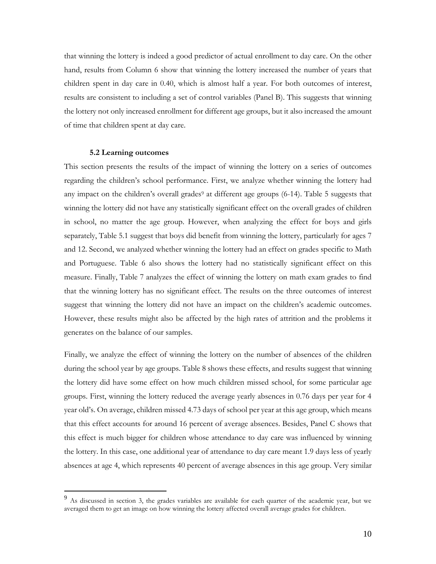that winning the lottery is indeed a good predictor of actual enrollment to day care. On the other hand, results from Column 6 show that winning the lottery increased the number of years that children spent in day care in 0.40, which is almost half a year. For both outcomes of interest, results are consistent to including a set of control variables (Panel B). This suggests that winning the lottery not only increased enrollment for different age groups, but it also increased the amount of time that children spent at day care.

#### **5.2 Learning outcomes**

 $\overline{a}$ 

This section presents the results of the impact of winning the lottery on a series of outcomes regarding the children's school performance. First, we analyze whether winning the lottery had any impact on the children's overall grades<sup>9</sup> at different age groups (6-14). Table 5 suggests that winning the lottery did not have any statistically significant effect on the overall grades of children in school, no matter the age group. However, when analyzing the effect for boys and girls separately, Table 5.1 suggest that boys did benefit from winning the lottery, particularly for ages 7 and 12. Second, we analyzed whether winning the lottery had an effect on grades specific to Math and Portuguese. Table 6 also shows the lottery had no statistically significant effect on this measure. Finally, Table 7 analyzes the effect of winning the lottery on math exam grades to find that the winning lottery has no significant effect. The results on the three outcomes of interest suggest that winning the lottery did not have an impact on the children's academic outcomes. However, these results might also be affected by the high rates of attrition and the problems it generates on the balance of our samples.

Finally, we analyze the effect of winning the lottery on the number of absences of the children during the school year by age groups. Table 8 shows these effects, and results suggest that winning the lottery did have some effect on how much children missed school, for some particular age groups. First, winning the lottery reduced the average yearly absences in 0.76 days per year for 4 year old's. On average, children missed 4.73 days of school per year at this age group, which means that this effect accounts for around 16 percent of average absences. Besides, Panel C shows that this effect is much bigger for children whose attendance to day care was influenced by winning the lottery. In this case, one additional year of attendance to day care meant 1.9 days less of yearly absences at age 4, which represents 40 percent of average absences in this age group. Very similar

As discussed in section 3, the grades variables are available for each quarter of the academic year, but we averaged them to get an image on how winning the lottery affected overall average grades for children.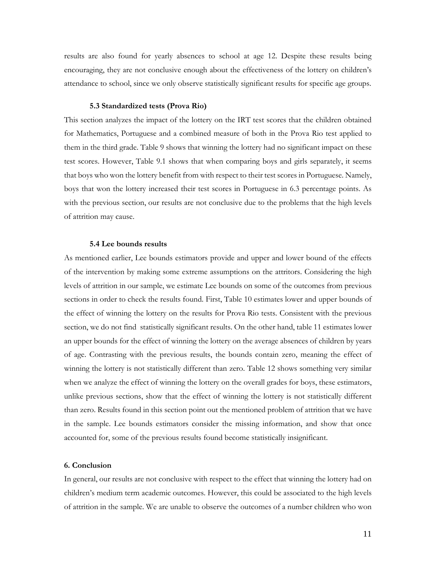results are also found for yearly absences to school at age 12. Despite these results being encouraging, they are not conclusive enough about the effectiveness of the lottery on children's attendance to school, since we only observe statistically significant results for specific age groups.

#### **5.3 Standardized tests (Prova Rio)**

This section analyzes the impact of the lottery on the IRT test scores that the children obtained for Mathematics, Portuguese and a combined measure of both in the Prova Rio test applied to them in the third grade. Table 9 shows that winning the lottery had no significant impact on these test scores. However, Table 9.1 shows that when comparing boys and girls separately, it seems that boys who won the lottery benefit from with respect to their test scores in Portuguese. Namely, boys that won the lottery increased their test scores in Portuguese in 6.3 percentage points. As with the previous section, our results are not conclusive due to the problems that the high levels of attrition may cause.

#### **5.4 Lee bounds results**

As mentioned earlier, Lee bounds estimators provide and upper and lower bound of the effects of the intervention by making some extreme assumptions on the attritors. Considering the high levels of attrition in our sample, we estimate Lee bounds on some of the outcomes from previous sections in order to check the results found. First, Table 10 estimates lower and upper bounds of the effect of winning the lottery on the results for Prova Rio tests. Consistent with the previous section, we do not find statistically significant results. On the other hand, table 11 estimates lower an upper bounds for the effect of winning the lottery on the average absences of children by years of age. Contrasting with the previous results, the bounds contain zero, meaning the effect of winning the lottery is not statistically different than zero. Table 12 shows something very similar when we analyze the effect of winning the lottery on the overall grades for boys, these estimators, unlike previous sections, show that the effect of winning the lottery is not statistically different than zero. Results found in this section point out the mentioned problem of attrition that we have in the sample. Lee bounds estimators consider the missing information, and show that once accounted for, some of the previous results found become statistically insignificant.

#### **6. Conclusion**

In general, our results are not conclusive with respect to the effect that winning the lottery had on children's medium term academic outcomes. However, this could be associated to the high levels of attrition in the sample. We are unable to observe the outcomes of a number children who won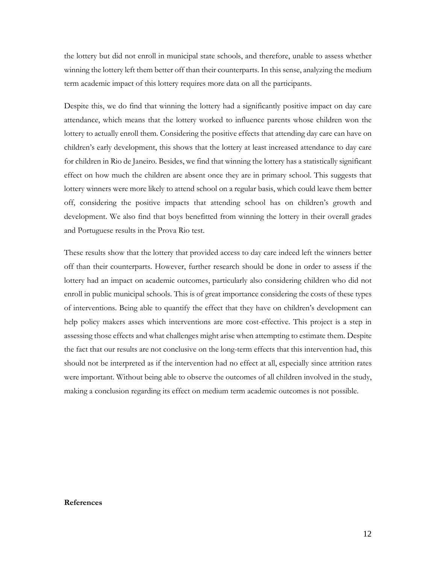the lottery but did not enroll in municipal state schools, and therefore, unable to assess whether winning the lottery left them better off than their counterparts. In this sense, analyzing the medium term academic impact of this lottery requires more data on all the participants.

Despite this, we do find that winning the lottery had a significantly positive impact on day care attendance, which means that the lottery worked to influence parents whose children won the lottery to actually enroll them. Considering the positive effects that attending day care can have on children's early development, this shows that the lottery at least increased attendance to day care for children in Rio de Janeiro. Besides, we find that winning the lottery has a statistically significant effect on how much the children are absent once they are in primary school. This suggests that lottery winners were more likely to attend school on a regular basis, which could leave them better off, considering the positive impacts that attending school has on children's growth and development. We also find that boys benefitted from winning the lottery in their overall grades and Portuguese results in the Prova Rio test.

These results show that the lottery that provided access to day care indeed left the winners better off than their counterparts. However, further research should be done in order to assess if the lottery had an impact on academic outcomes, particularly also considering children who did not enroll in public municipal schools. This is of great importance considering the costs of these types of interventions. Being able to quantify the effect that they have on children's development can help policy makers asses which interventions are more cost-effective. This project is a step in assessing those effects and what challenges might arise when attempting to estimate them. Despite the fact that our results are not conclusive on the long-term effects that this intervention had, this should not be interpreted as if the intervention had no effect at all, especially since attrition rates were important. Without being able to observe the outcomes of all children involved in the study, making a conclusion regarding its effect on medium term academic outcomes is not possible.

#### **References**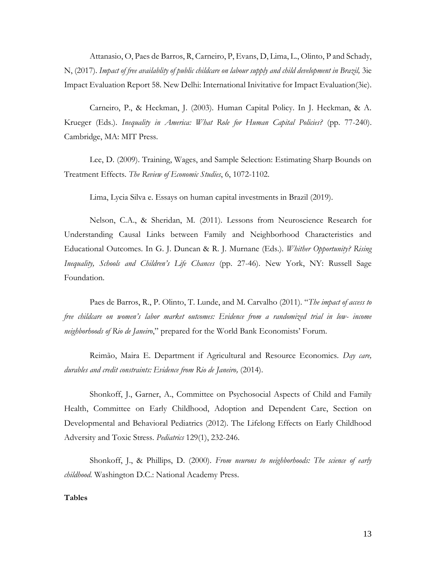Attanasio, O, Paes de Barros, R, Carneiro, P, Evans, D, Lima, L., Olinto, P and Schady, N, (2017). *Impact of free availablity of public childcare on labour supply and child development in Brazil,* 3ie Impact Evaluation Report 58. New Delhi: International Inivitative for Impact Evaluation(3ie).

Carneiro, P., & Heckman, J. (2003). Human Capital Policy. In J. Heckman, & A. Krueger (Eds.). *Inequality in America: What Role for Human Capital Policies?* (pp. 77-240). Cambridge, MA: MIT Press.

Lee, D. (2009). Training, Wages, and Sample Selection: Estimating Sharp Bounds on Treatment Effects. *The Review of Economic Studies*, 6, 1072-1102.

Lima, Lycia Silva e. Essays on human capital investments in Brazil (2019).

Nelson, C.A., & Sheridan, M. (2011). Lessons from Neuroscience Research for Understanding Causal Links between Family and Neighborhood Characteristics and Educational Outcomes. In G. J. Duncan & R. J. Murnane (Eds.). *Whither Opportunity? Rising Inequality, Schools and Children's Life Chances* (pp. 27-46). New York, NY: Russell Sage Foundation.

Paes de Barros, R., P. Olinto, T. Lunde, and M. Carvalho (2011). "*The impact of access to free childcare on women's labor market outcomes: Evidence from a randomized trial in low- income neighborhoods of Rio de Janeiro*," prepared for the World Bank Economists' Forum.

Reimão, Maira E. Department if Agricultural and Resource Economics. *Day care, durables and credit constraints: Evidence from Rio de Janeiro,* (2014).

Shonkoff, J., Garner, A., Committee on Psychosocial Aspects of Child and Family Health, Committee on Early Childhood, Adoption and Dependent Care, Section on Developmental and Behavioral Pediatrics (2012). The Lifelong Effects on Early Childhood Adversity and Toxic Stress. *Pediatrics* 129(1), 232-246.

Shonkoff, J., & Phillips, D. (2000). *From neurons to neighborhoods: The science of early childhood.* Washington D.C.: National Academy Press.

## **Tables**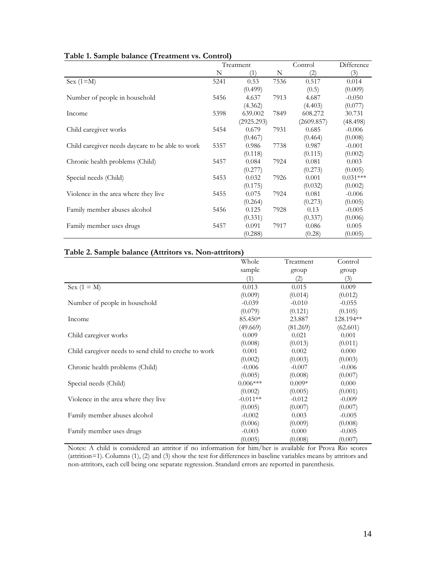|                                                  |      | Treatment  |      | Control    | Difference |
|--------------------------------------------------|------|------------|------|------------|------------|
|                                                  | N    | (1)        | N    | (2)        | (3)        |
| Sex $(1=M)$                                      | 5241 | 0.53       | 7536 | 0.517      | 0.014      |
|                                                  |      | (0.499)    |      | (0.5)      | (0.009)    |
| Number of people in household                    | 5456 | 4.637      | 7913 | 4.687      | $-0.050$   |
|                                                  |      | (4.362)    |      | (4.403)    | (0.077)    |
| Income                                           | 5398 | 639.002    | 7849 | 608.272    | 30.731     |
|                                                  |      | (2925.293) |      | (2609.857) | (48.498)   |
| Child caregiver works                            | 5454 | 0.679      | 7931 | 0.685      | $-0.006$   |
|                                                  |      | (0.467)    |      | (0.464)    | (0.008)    |
| Child caregiver needs daycare to be able to work | 5357 | 0.986      | 7738 | 0.987      | $-0.001$   |
|                                                  |      | (0.118)    |      | (0.115)    | (0.002)    |
| Chronic health problems (Child)                  | 5457 | 0.084      | 7924 | 0.081      | 0.003      |
|                                                  |      | (0.277)    |      | (0.273)    | (0.005)    |
| Special needs (Child)                            | 5453 | 0.032      | 7926 | 0.001      | $0.031***$ |
|                                                  |      | (0.175)    |      | (0.032)    | (0.002)    |
| Violence in the area where they live             | 5455 | 0.075      | 7924 | 0.081      | $-0.006$   |
|                                                  |      | (0.264)    |      | (0.273)    | (0.005)    |
| Family member abuses alcohol                     | 5456 | 0.125      | 7928 | 0.13       | $-0.005$   |
|                                                  |      | (0.331)    |      | (0.337)    | (0.006)    |
| Family member uses drugs                         | 5457 | 0.091      | 7917 | 0.086      | 0.005      |
|                                                  |      | (0.288)    |      | (0.28)     | (0.005)    |

## **Table 1. Sample balance (Treatment vs. Control)**

## **Table 2. Sample balance (Attritors vs. Non-attritors)**

|                                                       | Whole      | Treatment | Control   |
|-------------------------------------------------------|------------|-----------|-----------|
|                                                       | sample     | group     | group     |
|                                                       | (1)        | (2)       | (3)       |
| Sex $(1 = M)$                                         | 0.013      | 0.015     | 0.009     |
|                                                       | (0.009)    | (0.014)   | (0.012)   |
| Number of people in household                         | $-0.039$   | $-0.010$  | $-0.055$  |
|                                                       | (0.079)    | (0.121)   | (0.105)   |
| Income                                                | 85.450*    | 23.887    | 128.194** |
|                                                       | (49.669)   | (81.269)  | (62.601)  |
| Child caregiver works                                 | 0.009      | 0.021     | 0.001     |
|                                                       | (0.008)    | (0.013)   | (0.011)   |
| Child caregiver needs to send child to creche to work | 0.001      | 0.002     | 0.000     |
|                                                       | (0.002)    | (0.003)   | (0.003)   |
| Chronic health problems (Child)                       | $-0.006$   | $-0.007$  | $-0.006$  |
|                                                       | (0.005)    | (0.008)   | (0.007)   |
| Special needs (Child)                                 | $0.006***$ | $0.009*$  | 0.000     |
|                                                       | (0.002)    | (0.005)   | (0.001)   |
| Violence in the area where they live                  | $-0.011**$ | $-0.012$  | $-0.009$  |
|                                                       | (0.005)    | (0.007)   | (0.007)   |
| Family member abuses alcohol                          | $-0.002$   | 0.003     | $-0.005$  |
|                                                       | (0.006)    | (0.009)   | (0.008)   |
| Family member uses drugs                              | $-0.003$   | 0.000     | $-0.005$  |
|                                                       | (0.005)    | (0.008)   | (0.007)   |

Notes: A child is considered an attritor if no information for him/her is available for Prova Rio scores (attrition=1). Columns (1), (2) and (3) show the test for differences in baseline variables means by attritors and non-attritors, each cell being one separate regression. Standard errors are reported in parenthesis.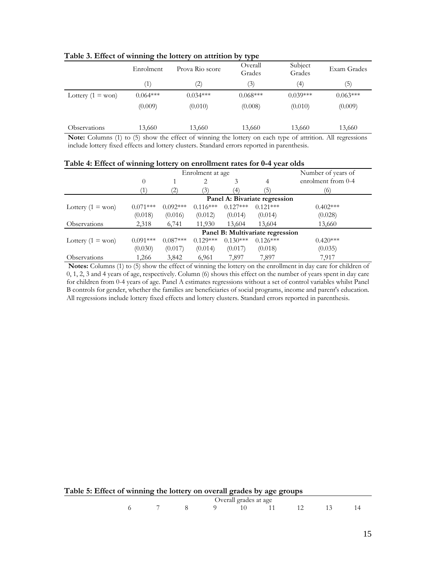|                           | . .               |                                                                                                                                                |                   |                   |             |
|---------------------------|-------------------|------------------------------------------------------------------------------------------------------------------------------------------------|-------------------|-------------------|-------------|
|                           | Enrolment         | Prova Rio score                                                                                                                                | Overall<br>Grades | Subject<br>Grades | Exam Grades |
|                           | $\left( 1\right)$ | $\left( 2\right)$                                                                                                                              | (3)               | (4)               | (5)         |
| Lottery $(1 = w \circ n)$ | $0.064***$        | $0.034***$                                                                                                                                     | $0.068***$        | $0.039***$        | $0.063***$  |
|                           | (0.009)           | (0.010)                                                                                                                                        | (0.008)           | (0.010)           | (0.009)     |
| <b>Observations</b>       | 13,660            | 13,660                                                                                                                                         | 13,660            | 13,660            | 13,660      |
|                           |                   | Note: $C_1$ , and $\langle A \rangle$ to $\langle E \rangle$ there the effect of minutes the lottens on as lot may of ethicial All accurations |                   |                   |             |

**Table 3. Effect of winning the lottery on attrition by type**

**Note:** Columns (1) to (5) show the effect of winning the lottery on each type of attrition. All regressions include lottery fixed effects and lottery clusters. Standard errors reported in parenthesis.

| Table 4: Effect of winning lottery on enrollment rates for 0-4 year olds |  |
|--------------------------------------------------------------------------|--|
|                                                                          |  |

|                           |            |            | Enrolment at age |            | Number of years of               |                    |  |
|---------------------------|------------|------------|------------------|------------|----------------------------------|--------------------|--|
|                           | $\theta$   |            | 2                | 3          | 4                                | enrolment from 0-4 |  |
|                           | ′1`        | 2          | (3)              | (4)        | (5                               | (6)                |  |
|                           |            |            |                  |            | Panel A: Bivariate regression    |                    |  |
| Lottery $(1 = w \circ n)$ | $0.071***$ | $0.092***$ | $0.116***$       | $0.127***$ | $0.121***$                       | $0.402***$         |  |
|                           | (0.018)    | (0.016)    | (0.012)          | (0.014)    | (0.014)                          | (0.028)            |  |
| Observations              | 2,318      | 6,741      | 11,930           | 13,604     | 13,604                           | 13,660             |  |
|                           |            |            |                  |            | Panel B: Multivariate regression |                    |  |
| Lottery $(1 = w \circ n)$ | $0.091***$ | $0.087***$ | $0.129***$       | $0.130***$ | $0.126***$                       | $0.420***$         |  |
|                           | (0.030)    | (0.017)    | (0.014)          | (0.017)    | (0.018)                          | (0.035)            |  |
| Observations              | 1,266      | 3,842      | 6,961            | 7,897      | 7,897                            | 7,917              |  |

**Notes:** Columns (1) to (5) show the effect of winning the lottery on the enrollment in day care for children of 0, 1, 2, 3 and 4 years of age, respectively. Column (6) shows this effect on the number of years spent in day care for children from 0-4 years of age. Panel A estimates regressions without a set of control variables whilst Panel B controls for gender, whether the families are beneficiaries of social programs, income and parent's education. All regressions include lottery fixed effects and lottery clusters. Standard errors reported in parenthesis.

| Table 5: Effect of winning the lottery on overall grades by age groups |  |  |  |             |  |  |  |  |  |  |
|------------------------------------------------------------------------|--|--|--|-------------|--|--|--|--|--|--|
| Overall grades at age                                                  |  |  |  |             |  |  |  |  |  |  |
|                                                                        |  |  |  | $\sim$ 0 10 |  |  |  |  |  |  |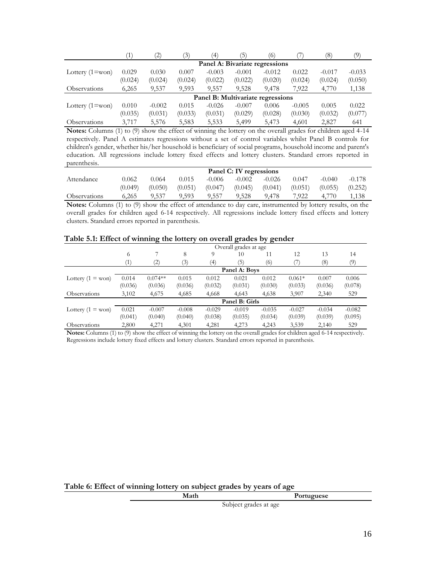|                       |         | (2)      | (3)     | (4)                               | (5)      | (6)      |          | (8)      | (9)      |
|-----------------------|---------|----------|---------|-----------------------------------|----------|----------|----------|----------|----------|
|                       |         |          |         | Panel A: Bivariate regressions    |          |          |          |          |          |
| Lottery $(1=$ won $)$ | 0.029   | 0.030    | 0.007   | $-0.003$                          | $-0.001$ | $-0.012$ | 0.022    | $-0.017$ | $-0.033$ |
|                       | (0.024) | (0.024)  | (0.024) | (0.022)                           | (0.022)  | (0.020)  | (0.024)  | (0.024)  | (0.050)  |
| <b>Observations</b>   | 6,265   | 9,537    | 9,593   | 9.557                             | 9.528    | 9,478    | 7,922    | 4,770    | 1,138    |
|                       |         |          |         | Panel B: Multivariate regressions |          |          |          |          |          |
| Lottery $(1=$ won $)$ | 0.010   | $-0.002$ | 0.015   | $-0.026$                          | $-0.007$ | 0.006    | $-0.005$ | 0.005    | 0.022    |
|                       | (0.035) | (0.031)  | (0.033) | (0.031)                           | (0.029)  | (0.028)  | (0.030)  | (0.032)  | (0.077)  |
| Observations          | 3,717   | 5.576    | 5,583   | 5,533                             | 5,499    | 5,473    | 4,601    | 2,827    | 641      |

**Notes:** Columns (1) to (9) show the effect of winning the lottery on the overall grades for children aged 4-14 respectively. Panel A estimates regressions without a set of control variables whilst Panel B controls for children's gender, whether his/her household is beneficiary of social programs, household income and parent's education. All regressions include lottery fixed effects and lottery clusters. Standard errors reported in parenthesis.

|              | Panel C: IV regressions |         |         |          |          |          |         |          |          |  |
|--------------|-------------------------|---------|---------|----------|----------|----------|---------|----------|----------|--|
| Attendance   | 0.062                   | 0.064   | 0.015   | $-0.006$ | $-0.002$ | $-0.026$ | 0.047   | $-0.040$ | $-0.178$ |  |
|              | (0.049)                 | (0.050) | (0.051) | (0.047)  | (0.045)  | (0.041)  | (0.051) | (0.055)  | (0.252)  |  |
| Observations | 6.265                   | 9.537   | 9.593   | 9.557    | 9.528    | 9.478    | 7.922   | 4.770    | 1.138    |  |
|              |                         |         |         |          |          |          |         |          |          |  |

**Notes:** Columns (1) to (9) show the effect of attendance to day care, instrumented by lottery results, on the overall grades for children aged 6-14 respectively. All regressions include lottery fixed effects and lottery clusters. Standard errors reported in parenthesis.

|  |  |  |  |  | Table 5.1: Effect of winning the lottery on overall grades by gender |
|--|--|--|--|--|----------------------------------------------------------------------|
|  |  |  |  |  |                                                                      |

|                            |         | Overall grades at age |          |          |                |          |          |          |          |  |  |
|----------------------------|---------|-----------------------|----------|----------|----------------|----------|----------|----------|----------|--|--|
|                            | 6       |                       | 8        | 9        | 10             | 11       | 12       | 13       | 14       |  |  |
|                            | Ί)      | 2)                    | (3)      | (4)      | (5)            | (6)      |          | (8)      | (9)      |  |  |
|                            |         |                       |          |          | Panel A: Boys  |          |          |          |          |  |  |
| Lottery $(1 = w \circ n)$  | 0.014   | $0.074**$             | 0.015    | 0.012    | 0.021          | 0.012    | $0.061*$ | 0.007    | 0.006    |  |  |
|                            | (0.036) | (0.036)               | (0.036)  | (0.032)  | (0.031)        | (0.030)  | (0.033)  | (0.036)  | (0.078)  |  |  |
| Observations               | 3,102   | 4,675                 | 4,685    | 4,668    | 4,643          | 4,638    | 3,907    | 2,340    | 529      |  |  |
|                            |         |                       |          |          | Panel B: Girls |          |          |          |          |  |  |
| Lottery $(1 = w \circ n)$  | 0.021   | $-0.007$              | $-0.008$ | $-0.029$ | $-0.019$       | $-0.035$ | $-0.027$ | $-0.034$ | $-0.082$ |  |  |
|                            | (0.041) | (0.040)               | (0.040)  | (0.038)  | (0.035)        | (0.034)  | (0.039)  | (0.039)  | (0.095)  |  |  |
| <i><b>Observations</b></i> | 2,800   | 4,271                 | 4,301    | 4,281    | 4,273          | 4,243    | 3,539    | 2,140    | 529      |  |  |

**Notes:** Columns (1) to (9) show the effect of winning the lottery on the overall grades for children aged 6-14 respectively. Regressions include lottery fixed effects and lottery clusters. Standard errors reported in parenthesis.

**Table 6: Effect of winning lottery on subject grades by years of age**

| Math | Portuguese            |
|------|-----------------------|
|      | Subject grades at age |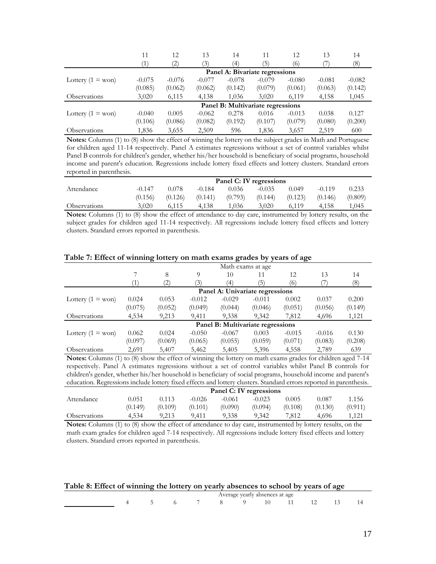|                           |          | 12       | 13       | 14                                | 11               | 12       | 13       | 14       |
|---------------------------|----------|----------|----------|-----------------------------------|------------------|----------|----------|----------|
|                           |          | 2)       | (3)      | $\left( 4\right)$                 | $\left(5\right)$ | (6)      |          | (8)      |
|                           |          |          |          | Panel A: Bivariate regressions    |                  |          |          |          |
| Lottery $(1 = w \circ n)$ | $-0.075$ | $-0.076$ | $-0.077$ | $-0.078$                          | $-0.079$         | $-0.080$ | $-0.081$ | $-0.082$ |
|                           | (0.085)  | (0.062)  | (0.062)  | (0.142)                           | (0.079)          | (0.061)  | (0.063)  | (0.142)  |
| <b>Observations</b>       | 3,020    | 6,115    | 4.138    | 1,036                             | 3,020            | 6,119    | 4,158    | 1,045    |
|                           |          |          |          | Panel B: Multivariate regressions |                  |          |          |          |
| Lottery $(1 = w \circ n)$ | $-0.040$ | 0.005    | $-0.062$ | 0.278                             | 0.016            | $-0.013$ | 0.038    | 0.127    |
|                           | (0.106)  | (0.086)  | (0.082)  | (0.192)                           | (0.107)          | (0.079)  | (0.080)  | (0.200)  |
| Observations              | 1,836    | 3,655    | 2,509    | 596                               | 1,836            | 3,657    | 2,519    | 600      |

**Notes:** Columns (1) to (8) show the effect of winning the lottery on the subject grades in Math and Portuguese for children aged 11-14 respectively. Panel A estimates regressions without a set of control variables whilst Panel B controls for children's gender, whether his/her household is beneficiary of social programs, household income and parent's education. Regressions include lottery fixed effects and lottery clusters. Standard errors reported in parenthesis.

|                     |          |         |          | Panel C: IV regressions |          |         |          |         |
|---------------------|----------|---------|----------|-------------------------|----------|---------|----------|---------|
| Attendance          | $-0.147$ | 0.078   | $-0.184$ | 0.036                   | $-0.035$ | 0.049   | $-0.119$ | 0.233   |
|                     | (0.156)  | (0.126) | (0.141)  | (0.793)                 | (0.144)  | (0.123) | (0.146)  | (0.809) |
| <b>Observations</b> | 3.020    | 6.115   | 4.138    | 1.036                   | 3.020    | 6.119   | 4.158    | .045    |

**Notes:** Columns (1) to (8) show the effect of attendance to day care, instrumented by lottery results, on the subject grades for children aged 11-14 respectively. All regressions include lottery fixed effects and lottery clusters. Standard errors reported in parenthesis.

|                           |                              |                   |          |          | Math exams at age                 |          |          |         |
|---------------------------|------------------------------|-------------------|----------|----------|-----------------------------------|----------|----------|---------|
|                           |                              | 8                 | 9        | 10       | 11                                | 12       | 13       | 14      |
|                           | $\left\lceil 1 \right\rceil$ | $\left( 2\right)$ | (3)      | (4)      | (5)                               | (6)      |          | (8)     |
|                           |                              |                   |          |          | Panel A: Univariate regressions   |          |          |         |
| Lottery $(1 = w \circ n)$ | 0.024                        | 0.053             | $-0.012$ | $-0.029$ | $-0.011$                          | 0.002    | 0.037    | 0.200   |
|                           | (0.075)                      | (0.052)           | (0.049)  | (0.044)  | (0.046)                           | (0.051)  | (0.056)  | (0.149) |
| <b>Observations</b>       | 4,534                        | 9,213             | 9,411    | 9,338    | 9,342                             | 7,812    | 4,696    | 1,121   |
|                           |                              |                   |          |          | Panel B: Multivariate regressions |          |          |         |
| Lottery $(1 = w \circ n)$ | 0.062                        | 0.024             | $-0.050$ | $-0.067$ | 0.003                             | $-0.015$ | $-0.016$ | 0.130   |
|                           | (0.097)                      | (0.069)           | (0.065)  | (0.055)  | (0.059)                           | (0.071)  | (0.083)  | (0.208) |
| Observations              | 2,691                        | 5,407             | 5,462    | 5,405    | 5,396                             | 4,558    | 2,789    | 639     |

**Table 7: Effect of winning lottery on math exams grades by years of age**

**Notes:** Columns (1) to (8) show the effect of winning the lottery on math exams grades for children aged 7-14 respectively. Panel A estimates regressions without a set of control variables whilst Panel B controls for children's gender, whether his/her household is beneficiary of social programs, household income and parent's education. Regressions include lottery fixed effects and lottery clusters. Standard errors reported in parenthesis.

|                     |         |         |          |          | Panel C: IV regressions |         |         |         |
|---------------------|---------|---------|----------|----------|-------------------------|---------|---------|---------|
| Attendance          | 0.051   | 0.113   | $-0.026$ | $-0.061$ | $-0.023$                | 0.005   | 0.087   | 1.156   |
|                     | (0.149) | (0.109) | (0.101)  | (0.090)  | (0.094)                 | (0.108) | (0.130) | (0.911) |
| <b>Observations</b> | 4.534   | 9,213   | 9.411    | 9,338    | 9,342                   | 7.812   | 4.696   | 1.121   |

**Notes:** Columns (1) to (8) show the effect of attendance to day care, instrumented by lottery results, on the math exam grades for children aged 7-14 respectively. All regressions include lottery fixed effects and lottery clusters. Standard errors reported in parenthesis.

| Table 8: Effect of winning the lottery on yearly absences to school by years of age |  |  |  |                                |  |  |
|-------------------------------------------------------------------------------------|--|--|--|--------------------------------|--|--|
|                                                                                     |  |  |  | Average yearly absences at age |  |  |
|                                                                                     |  |  |  |                                |  |  |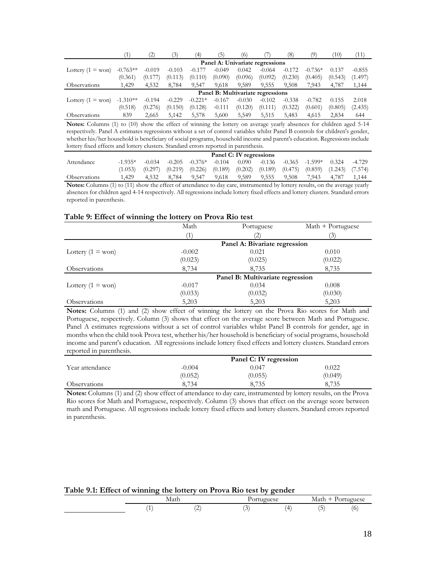|                           |            | .2)      | 3        | $\left(4\right)$ | 5)       | (6)      |                                   | (8)      | (9        | Ίθ      | (11      |
|---------------------------|------------|----------|----------|------------------|----------|----------|-----------------------------------|----------|-----------|---------|----------|
|                           |            |          |          |                  |          |          | Panel A: Univariate regressions   |          |           |         |          |
| Lottery $(1 = w \circ n)$ | $-0.763**$ | $-0.019$ | $-0.103$ | $-0.177$         | $-0.049$ | 0.042    | $-0.064$                          | $-0.172$ | $-0.736*$ | 0.137   | $-0.855$ |
|                           | (0.361)    | (0.177)  | (0.113)  | (0.110)          | (0.090)  | (0.096)  | (0.092)                           | (0.230)  | (0.405)   | (0.543) | (1.497)  |
| Observations              | 1.429      | 4.532    | 8.784    | 9,547            | 9.618    | 9.589    | 9,555                             | 9.508    | 7,943     | 4.787   | 1,144    |
|                           |            |          |          |                  |          |          | Panel B: Multivariate regressions |          |           |         |          |
| Lottery $(1 = w \circ n)$ | $-1.310**$ | $-0.194$ | $-0.229$ | $-0.221*$        | $-0.167$ | $-0.030$ | $-0.102$                          | $-0.338$ | $-0.782$  | 0.155   | 2.018    |
|                           | (0.518)    | (0.276)  | (0.150)  | (0.128)          | $-0.111$ | (0.120)  | (0.111)                           | (0.322)  | (0.601)   | (0.805) | (2.435)  |
| <b>Observations</b>       | 839        | 2.665    | 5.142    | 5,578            | 5,600    | 5,549    | 5,515                             | 5,483    | 4.615     | 2.834   | 644      |

**Notes:** Columns (1) to (10) show the effect of winning the lottery on average yearly absences for children aged 5-14 respectively. Panel A estimates regressions without a set of control variables whilst Panel B controls for children's gender, whether his/her household is beneficiary of social programs, household income and parent's education. Regressions include lottery fixed effects and lottery clusters. Standard errors reported in parenthesis.

|                                                                                                                              |           |       |                  |                                                                                                     |          | Panel C: IV regressions |                |       |                          |       |        |
|------------------------------------------------------------------------------------------------------------------------------|-----------|-------|------------------|-----------------------------------------------------------------------------------------------------|----------|-------------------------|----------------|-------|--------------------------|-------|--------|
| Attendance                                                                                                                   | $-1.935*$ |       | $-0.034 - 0.205$ | $-0.376*$                                                                                           | $-0.104$ |                         | $0.090 -0.136$ |       | $-0.365$ $-1.599*$ 0.324 |       | -4.729 |
|                                                                                                                              | (1.053)   |       |                  | $(0.297)$ $(0.219)$ $(0.226)$ $(0.189)$ $(0.202)$ $(0.189)$ $(0.475)$ $(0.859)$ $(1.243)$ $(7.574)$ |          |                         |                |       |                          |       |        |
| <b>Observations</b>                                                                                                          | 1.429     | 4.532 | 8.784            | 9.547                                                                                               | 9.618    | 9.589                   | 9.555          | 9.508 | 7.943                    | 4.787 | 1.144  |
| Notes: Columns (1) to (11) show the effect of attendance to day care, instrumented by lottery results, on the average yearly |           |       |                  |                                                                                                     |          |                         |                |       |                          |       |        |

**s:** Columns (1) to (11) show the effect of attendance to day care, instrumented by lottery results, on the average yearly absences for children aged 4-14 respectively. All regressions include lottery fixed effects and lottery clusters. Standard errors reported in parenthesis.

### **Table 9: Effect of winning the lottery on Prova Rio test**

|                           | $\overline{\phantom{0}}$ |                                  |                   |
|---------------------------|--------------------------|----------------------------------|-------------------|
|                           | Math                     | Portuguese                       | Math + Portuguese |
|                           |                          |                                  | 3)                |
|                           |                          | Panel A: Bivariate regression    |                   |
| Lottery $(1 = w \circ n)$ | $-0.002$                 | 0.021                            | 0.010             |
|                           | (0.023)                  | (0.025)                          | (0.022)           |
| Observations              | 8,734                    | 8,735                            | 8,735             |
|                           |                          | Panel B: Multivariate regression |                   |
| Lottery $(1 = w \circ n)$ | $-0.017$                 | 0.034                            | 0.008             |
|                           | (0.033)                  | (0.032)                          | (0.030)           |
| <b>Observations</b>       | 5,203                    | 5,203                            | 5,203             |

**Notes:** Columns (1) and (2) show effect of winning the lottery on the Prova Rio scores for Math and Portuguese, respectively. Column (3) shows that effect on the average score between Math and Portuguese. Panel A estimates regressions without a set of control variables whilst Panel B controls for gender, age in months when the child took Prova test, whether his/her household is beneficiary of social programs, household income and parent's education. All regressions include lottery fixed effects and lottery clusters. Standard errors reported in parenthesis.

|                 |          | Panel C: IV regression |         |
|-----------------|----------|------------------------|---------|
| Year attendance | $-0.004$ | 0.047                  | 0.022   |
|                 | (0.052)  | (0.055)                | (0.049) |
| Observations    | 8,734    | 8,735                  | 8.735   |

**Notes:** Columns (1) and (2) show effect of attendance to day care, instrumented by lottery results, on the Prova Rio scores for Math and Portuguese, respectively. Column (3) shows that effect on the average score between math and Portuguese. All regressions include lottery fixed effects and lottery clusters. Standard errors reported in parenthesis.

## **Table 9.1: Effect of winning the lottery on Prova Rio test by gender**

|  | Math        | معمىتميت<br>. ormancse                  |    | Math<br>—<br><b>I</b> | Portuguese |
|--|-------------|-----------------------------------------|----|-----------------------|------------|
|  | $\sim$<br>∸ | $\sim$<br>-<br>$\overline{\phantom{a}}$ | Δ. | . .<br>ာ              | $\circ$    |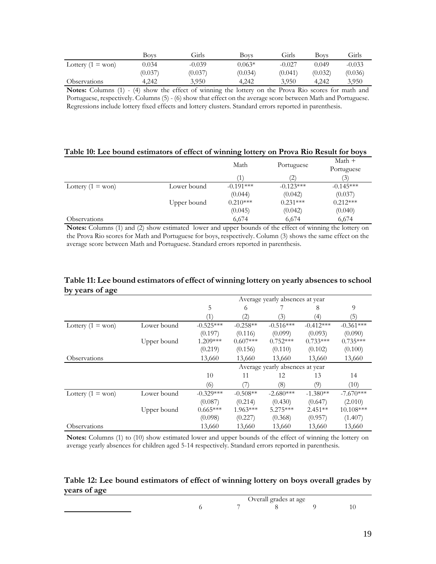|                            | Bovs    | Girls    | Boys     | Girls    | Bovs    | Girls    |
|----------------------------|---------|----------|----------|----------|---------|----------|
| Lottery $(1 = w \circ n)$  | 0.034   | $-0.039$ | $0.063*$ | $-0.027$ | 0.049   | $-0.033$ |
|                            | (0.037) | (0.037)  | (0.034)  | (0.041)  | (0.032) | (0.036)  |
| <i><b>Observations</b></i> | 4.242   | 3,950    | 4.242    | 3,950    | 4.242   | 3,950    |

**Notes:** Columns (1) - (4) show the effect of winning the lottery on the Prova Rio scores for math and Portuguese, respectively. Columns (5) - (6) show that effect on the average score between Math and Portuguese. Regressions include lottery fixed effects and lottery clusters. Standard errors reported in parenthesis.

## **Table 10: Lee bound estimators of effect of winning lottery on Prova Rio Result for boys**

|                           |             | Math        | Portuguese  | $Math +$<br>Portuguese |
|---------------------------|-------------|-------------|-------------|------------------------|
|                           |             |             | (2)         | (3)                    |
| Lottery $(1 = w \circ n)$ | Lower bound | $-0.191***$ | $-0.123***$ | $-0.145***$            |
|                           |             | (0.044)     | (0.042)     | (0.037)                |
|                           | Upper bound | $0.210***$  | $0.231***$  | $0.212***$             |
|                           |             | (0.045)     | (0.042)     | (0.040)                |
| Observations              |             | 6,674       | 6,674       | 6,674                  |

**Notes:** Columns (1) and (2) show estimated lower and upper bounds of the effect of winning the lottery on the Prova Rio scores for Math and Portuguese for boys, respectively. Column (3) shows the same effect on the average score between Math and Portuguese. Standard errors reported in parenthesis.

|                           |             | Average yearly absences at year |                   |                                 |             |             |  |  |
|---------------------------|-------------|---------------------------------|-------------------|---------------------------------|-------------|-------------|--|--|
|                           |             | 5                               | 6                 |                                 | 8           | 9           |  |  |
|                           |             |                                 | $\left( 2\right)$ | (3)                             | (4)         | (5)         |  |  |
| Lottery $(1 = w \circ n)$ | Lower bound | $-0.525***$                     | $-0.258**$        | $-0.516***$                     | $-0.412***$ | $-0.361***$ |  |  |
|                           |             | (0.197)                         | (0.116)           | (0.099)                         | (0.093)     | (0.090)     |  |  |
|                           | Upper bound | $1.209***$                      | $0.607***$        | $0.752***$                      | $0.733***$  | $0.735***$  |  |  |
|                           |             | (0.219)                         | (0.156)           | (0.110)                         | (0.102)     | (0.100)     |  |  |
| Observations              |             | 13,660                          | 13,660            | 13,660                          | 13,660      | 13,660      |  |  |
|                           |             |                                 |                   |                                 |             |             |  |  |
|                           |             |                                 |                   | Average yearly absences at year |             |             |  |  |
|                           |             | 10                              | 11                | 12                              | 13          | 14          |  |  |
|                           |             | (6)                             |                   | (8)                             | (9)         | (10)        |  |  |
| Lottery $(1 = w \circ n)$ | Lower bound | $-0.329***$                     | $-0.508**$        | $-2.680***$                     | $-1.380**$  | $-7.670***$ |  |  |
|                           |             | (0.087)                         | (0.214)           | (0.430)                         | (0.647)     | (2.010)     |  |  |
|                           | Upper bound | $0.665***$                      | $1.963***$        | $5.275***$                      | $2.451**$   | 10.108***   |  |  |
|                           |             | (0.098)                         | (0.227)           | (0.368)                         | (0.957)     | (1.407)     |  |  |

## **Table 11: Lee bound estimators of effect of winning lottery on yearly absences to school by years of age**

**Notes:** Columns (1) to (10) show estimated lower and upper bounds of the effect of winning the lottery on average yearly absences for children aged 5-14 respectively. Standard errors reported in parenthesis.

## **Table 12: Lee bound estimators of effect of winning lottery on boys overall grades by years of age**

|  | Overall grades at age |  |  |  |  |  |  |
|--|-----------------------|--|--|--|--|--|--|
|  |                       |  |  |  |  |  |  |